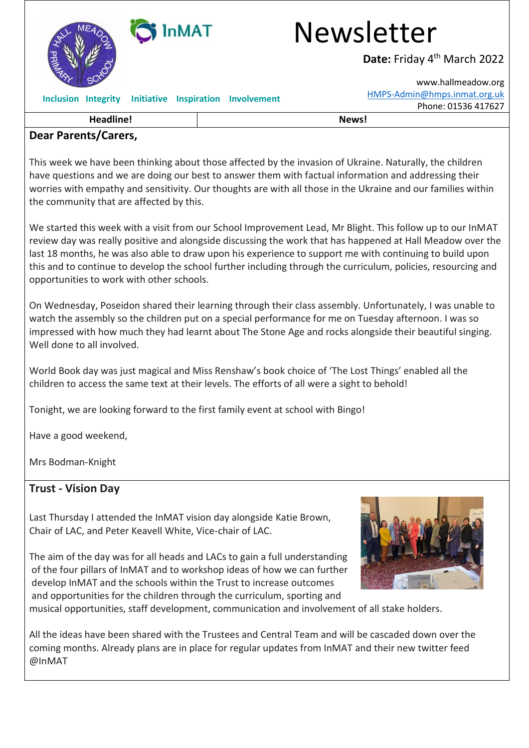

### **Dear Parents/Carers,**

This week we have been thinking about those affected by the invasion of Ukraine. Naturally, the children have questions and we are doing our best to answer them with factual information and addressing their worries with empathy and sensitivity. Our thoughts are with all those in the Ukraine and our families within the community that are affected by this.

We started this week with a visit from our School Improvement Lead, Mr Blight. This follow up to our InMAT review day was really positive and alongside discussing the work that has happened at Hall Meadow over the last 18 months, he was also able to draw upon his experience to support me with continuing to build upon this and to continue to develop the school further including through the curriculum, policies, resourcing and opportunities to work with other schools.

On Wednesday, Poseidon shared their learning through their class assembly. Unfortunately, I was unable to watch the assembly so the children put on a special performance for me on Tuesday afternoon. I was so impressed with how much they had learnt about The Stone Age and rocks alongside their beautiful singing. Well done to all involved.

World Book day was just magical and Miss Renshaw's book choice of 'The Lost Things' enabled all the children to access the same text at their levels. The efforts of all were a sight to behold!

Tonight, we are looking forward to the first family event at school with Bingo!

Have a good weekend,

Mrs Bodman-Knight

# **Trust - Vision Day**

Last Thursday I attended the InMAT vision day alongside Katie Brown, Chair of LAC, and Peter Keavell White, Vice-chair of LAC.



The aim of the day was for all heads and LACs to gain a full understanding of the four pillars of InMAT and to workshop ideas of how we can further develop InMAT and the schools within the Trust to increase outcomes and opportunities for the children through the curriculum, sporting and

musical opportunities, staff development, communication and involvement of all stake holders.

All the ideas have been shared with the Trustees and Central Team and will be cascaded down over the coming months. Already plans are in place for regular updates from InMAT and their new twitter feed @InMAT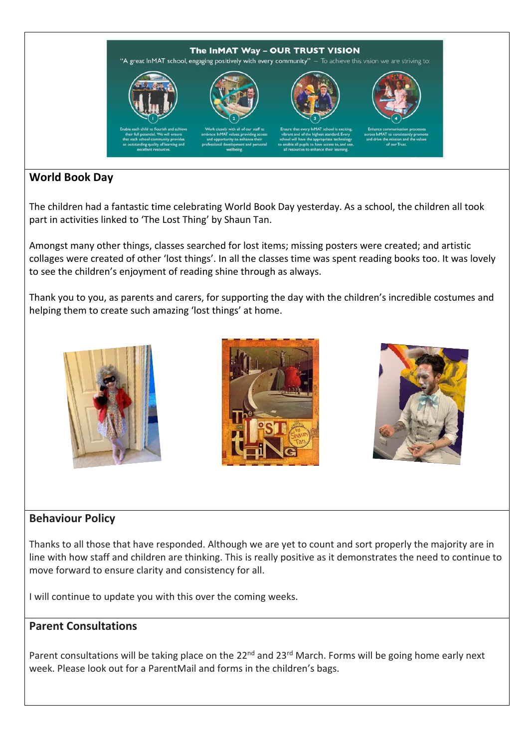

# **World Book Day**

The children had a fantastic time celebrating World Book Day yesterday. As a school, the children all took part in activities linked to 'The Lost Thing' by Shaun Tan.

Amongst many other things, classes searched for lost items; missing posters were created; and artistic collages were created of other 'lost things'. In all the classes time was spent reading books too. It was lovely to see the children's enjoyment of reading shine through as always.

Thank you to you, as parents and carers, for supporting the day with the children's incredible costumes and helping them to create such amazing 'lost things' at home.







# **Behaviour Policy**

Thanks to all those that have responded. Although we are yet to count and sort properly the majority are in line with how staff and children are thinking. This is really positive as it demonstrates the need to continue to move forward to ensure clarity and consistency for all.

I will continue to update you with this over the coming weeks.

### **Parent Consultations**

Parent consultations will be taking place on the 22<sup>nd</sup> and 23<sup>rd</sup> March. Forms will be going home early next week. Please look out for a ParentMail and forms in the children's bags.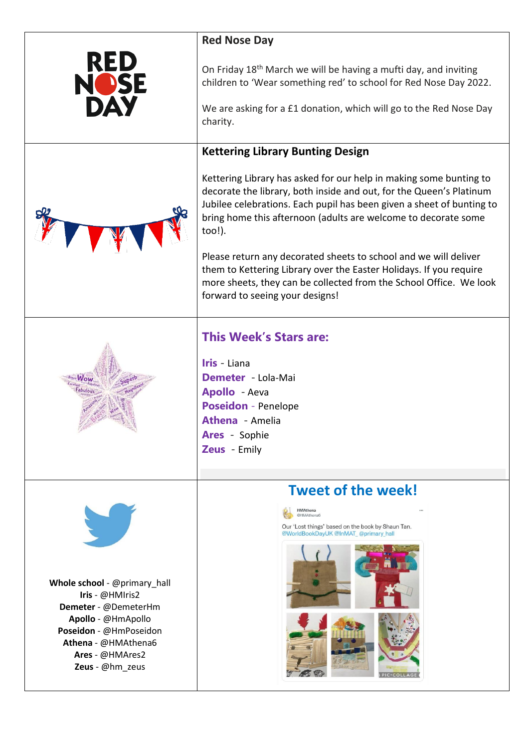|                                                           | <b>Red Nose Day</b>                                                                                                                                                                                                                                                                            |
|-----------------------------------------------------------|------------------------------------------------------------------------------------------------------------------------------------------------------------------------------------------------------------------------------------------------------------------------------------------------|
| RED<br><b>IO</b> SE                                       | On Friday 18 <sup>th</sup> March we will be having a mufti day, and inviting<br>children to 'Wear something red' to school for Red Nose Day 2022.<br>We are asking for a £1 donation, which will go to the Red Nose Day                                                                        |
|                                                           | charity.                                                                                                                                                                                                                                                                                       |
|                                                           | <b>Kettering Library Bunting Design</b>                                                                                                                                                                                                                                                        |
|                                                           | Kettering Library has asked for our help in making some bunting to<br>decorate the library, both inside and out, for the Queen's Platinum<br>Jubilee celebrations. Each pupil has been given a sheet of bunting to<br>bring home this afternoon (adults are welcome to decorate some<br>too!). |
|                                                           | Please return any decorated sheets to school and we will deliver<br>them to Kettering Library over the Easter Holidays. If you require<br>more sheets, they can be collected from the School Office. We look<br>forward to seeing your designs!                                                |
|                                                           | <b>This Week's Stars are:</b>                                                                                                                                                                                                                                                                  |
|                                                           | Iris - Liana                                                                                                                                                                                                                                                                                   |
|                                                           | Demeter Lola-Mai<br>Apollo - Aeva                                                                                                                                                                                                                                                              |
|                                                           | <b>Poseidon</b> - Penelope                                                                                                                                                                                                                                                                     |
|                                                           | <b>Athena</b> - Amelia<br><b>Ares</b> - Sophie                                                                                                                                                                                                                                                 |
|                                                           | Zeus Emily                                                                                                                                                                                                                                                                                     |
|                                                           | <b>Tweet of the week!</b>                                                                                                                                                                                                                                                                      |
|                                                           | <b>HMAthena</b><br>@HMAthena6                                                                                                                                                                                                                                                                  |
|                                                           | Our 'Lost things' based on the book by Shaun Tan.<br>@WorldBookDayUK @InMAT_@primary_hall                                                                                                                                                                                                      |
|                                                           |                                                                                                                                                                                                                                                                                                |
| Whole school - @primary_hall                              |                                                                                                                                                                                                                                                                                                |
| Iris - @HMIris2<br>Demeter - @DemeterHm                   |                                                                                                                                                                                                                                                                                                |
| Apollo - @HmApollo<br>Poseidon - @HmPoseidon              |                                                                                                                                                                                                                                                                                                |
| Athena - @HMAthena6<br>Ares - @HMAres2<br>Zeus - @hm_zeus | <b>PIC-COLLAG</b>                                                                                                                                                                                                                                                                              |